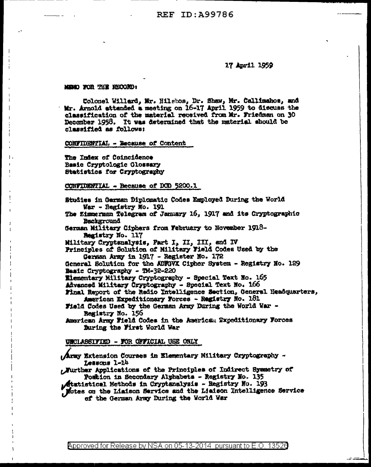## 17 April 1959

## MEMO FOR THE RECORD:

Colonel Willard, Mr. Hilsbos, Dr. Shaw, Mr. Callimahos, and Mr. Arnold attended a meeting on 16-17 April 1959 to discuss the classification of the material received from Mr. Friedman on 30 December 1958. It was determined that the material should be classified as follows:

CONFIDENTIAL - Because of Content

The Index of Coincidence Basic Cryptologic Glossary Statistics for Cryptography

CONFIDENTIAL - Because of DOD 5200.1

Studies in German Diplomatic Codes Employed During the World War - Registry No. 191

The Zimmerman Telegram of January 16, 1917 and its Cryptographic Bachground

German Military Ciphers from February to November 1918-Registry No. 117

Military Cryptenslysis, Part I, II, III, and IV

Principles of Solution of Military Field Codes Used by the German Army in 1917 - Register No. 172

General Solution for the ADFGVX Cipher System - Registry No. 129 Basic Cryptography - TM-32-220

Elementary Military Cryptography - Special Text No. 165

Advanced Military Cryptography - Special Text No. 166

Final Report of the Redio Intelligence Saction, General Headquarters, American Expeditionary Forces - Registry No. 181

Field Codes Used by the German Army During the World War -Registry No. 156

American Army Field Codes in the American Expeditionary Forces During the First World War

UNCLASSIFIED - FOR OFFICIAL USE ONLY

Army Extension Courses in Elementary Militery Cryptography -Lessons 1-14

Nurther Applications of the Principles of Indirect Symmetry of Postion in Secondary Alphabets - Registry No. 135

Atatistical Methods in Cryptanalysis - Registry No. 193

Motes on the Liaison Service and the Liaison Intelligence Service of the German Army During the World War

Approved for Release by NSA on 05-13-2014 pursuant to E.O. 13526

سور سو